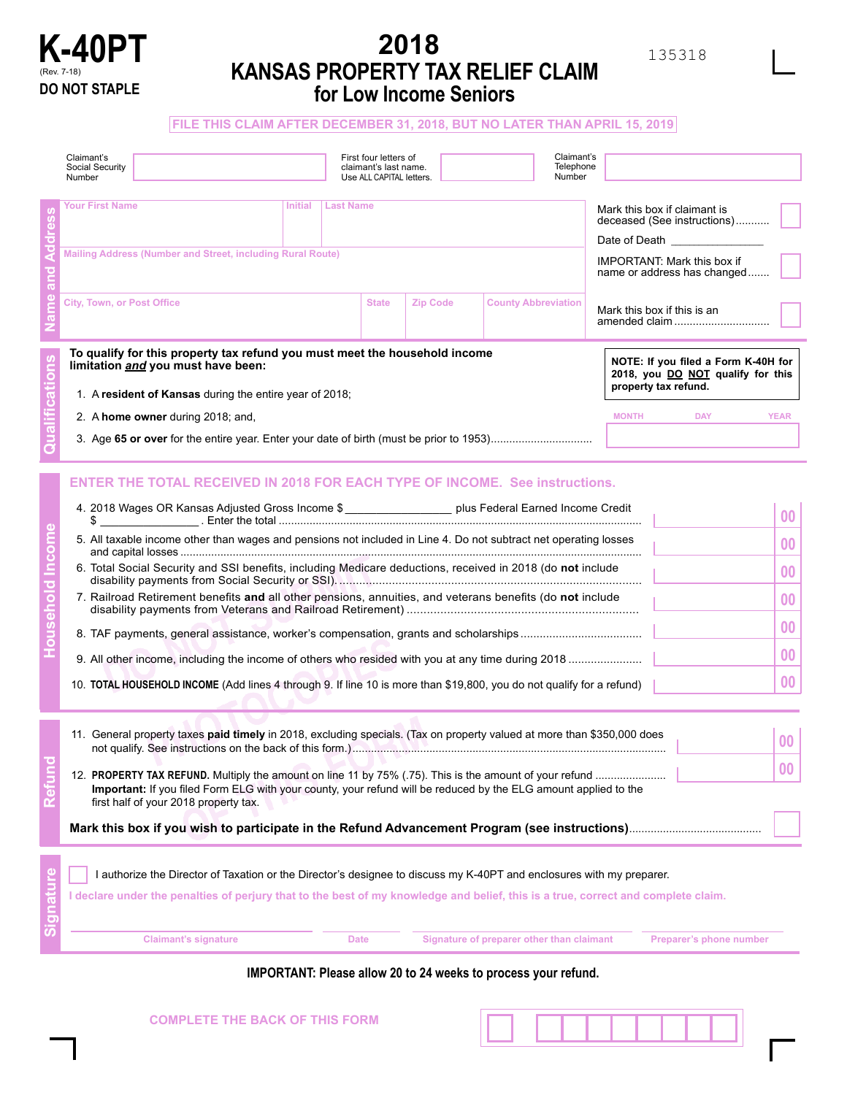

# **2018 KANSAS PROPERTY TAX RELIEF CLAIM for Low Income Seniors**

**FILE THIS CLAIM AFTER DECEMBER 31, 2018, BUT NO LATER THAN APRIL 15, 2019**

| Claimant's<br>Social Security<br>Number                                                                                                                                                                                                                                                                                                                                                                                                                                                                                                                                                                                                                             | First four letters of<br>claimant's last name.<br>Use ALL CAPITAL letters. |                 | Number                                    | Claimant's<br>Telephone              |                                                                                                                                                         |                                               |
|---------------------------------------------------------------------------------------------------------------------------------------------------------------------------------------------------------------------------------------------------------------------------------------------------------------------------------------------------------------------------------------------------------------------------------------------------------------------------------------------------------------------------------------------------------------------------------------------------------------------------------------------------------------------|----------------------------------------------------------------------------|-----------------|-------------------------------------------|--------------------------------------|---------------------------------------------------------------------------------------------------------------------------------------------------------|-----------------------------------------------|
| <b>Your First Name</b><br>Last Name<br><b>Initial</b><br>Mailing Address (Number and Street, including Rural Route)                                                                                                                                                                                                                                                                                                                                                                                                                                                                                                                                                 |                                                                            |                 |                                           |                                      | Mark this box if claimant is<br>deceased (See instructions)<br>Date of Death _____<br><b>IMPORTANT: Mark this box if</b><br>name or address has changed |                                               |
| <b>City, Town, or Post Office</b>                                                                                                                                                                                                                                                                                                                                                                                                                                                                                                                                                                                                                                   | <b>State</b>                                                               | <b>Zip Code</b> | <b>County Abbreviation</b>                | Mark this box if this is an          | amended claim                                                                                                                                           |                                               |
| To qualify for this property tax refund you must meet the household income<br>limitation and you must have been:<br>1. A resident of Kansas during the entire year of 2018;<br>2. A home owner during 2018; and,                                                                                                                                                                                                                                                                                                                                                                                                                                                    |                                                                            |                 |                                           | property tax refund.<br><b>MONTH</b> | NOTE: If you filed a Form K-40H for<br>2018, you DO NOT qualify for this<br><b>DAY</b>                                                                  | <b>YEAR</b>                                   |
| <b>ENTER THE TOTAL RECEIVED IN 2018 FOR EACH TYPE OF INCOME. See instructions.</b><br>4. 2018 Wages OR Kansas Adjusted Gross Income \$ ___________________ plus Federal Earned Income Credit<br>5. All taxable income other than wages and pensions not included in Line 4. Do not subtract net operating losses<br>6. Total Social Security and SSI benefits, including Medicare deductions, received in 2018 (do not include<br>7. Railroad Retirement benefits and all other pensions, annuities, and veterans benefits (do not include<br>10. TOTAL HOUSEHOLD INCOME (Add lines 4 through 9. If line 10 is more than \$19,800, you do not qualify for a refund) |                                                                            |                 |                                           |                                      |                                                                                                                                                         | 00<br>00<br>00<br>$\bf{00}$<br>00<br>00<br>00 |
| 11. General property taxes paid timely in 2018, excluding specials. (Tax on property valued at more than \$350,000 does<br>Important: If you filed Form ELG with your county, your refund will be reduced by the ELG amount applied to the<br>first half of your 2018 property tax.                                                                                                                                                                                                                                                                                                                                                                                 |                                                                            |                 |                                           |                                      |                                                                                                                                                         | 00<br>00                                      |
| I authorize the Director of Taxation or the Director's designee to discuss my K-40PT and enclosures with my preparer.<br>I declare under the penalties of perjury that to the best of my knowledge and belief, this is a true, correct and complete claim.<br><b>Claimant's signature</b>                                                                                                                                                                                                                                                                                                                                                                           | <b>Date</b>                                                                |                 | Signature of preparer other than claimant |                                      | Preparer's phone number                                                                                                                                 |                                               |

**IMPORTANT: Please allow 20 to 24 weeks to process your refund.**